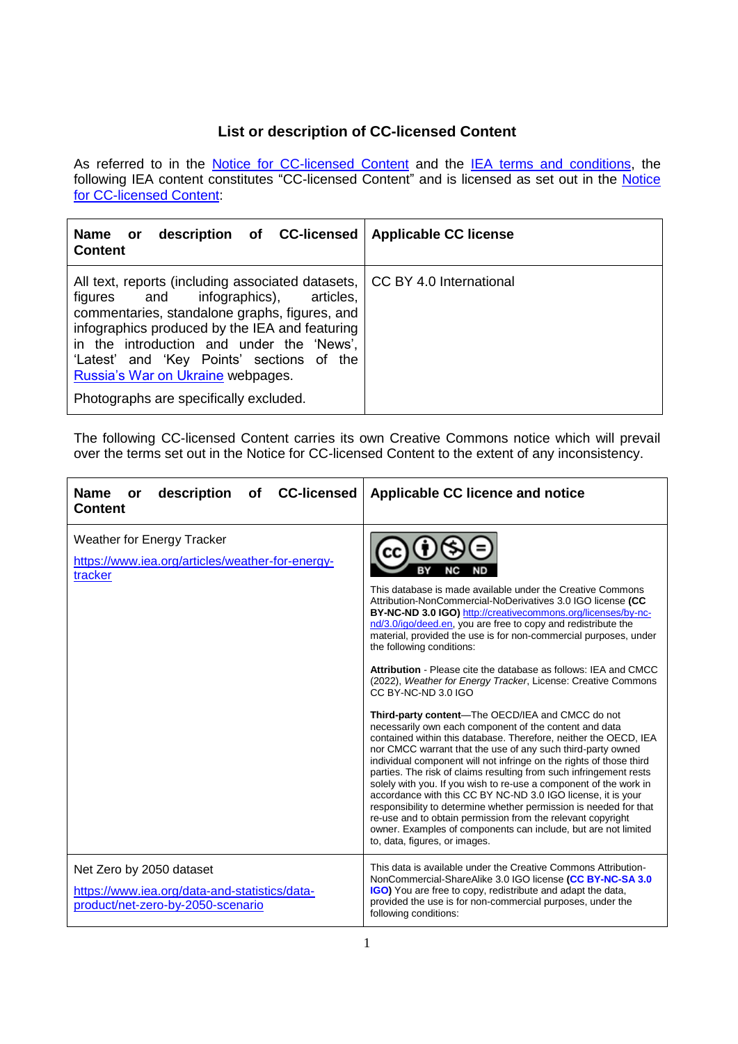## **List or description of CC-licensed Content**

As referred to in the <u>[Notice for CC-licensed Content](http://www.iea.org/terms/creative-commons-cc-licenses)</u> and the <u>IEA terms and conditions</u>, the following IEA content constitutes "CC-licensed Content" and is licensed as set out in the <u>Notice</u> [for CC-licensed Content:](http://www.iea.org/terms/creative-commons-cc-licenses)

| description of CC-licensed   Applicable CC license<br>Name or<br><b>Content</b>                                                                                                                                                                                                                                                                                       |                         |
|-----------------------------------------------------------------------------------------------------------------------------------------------------------------------------------------------------------------------------------------------------------------------------------------------------------------------------------------------------------------------|-------------------------|
| All text, reports (including associated datasets,<br>figures and infographics), articles,<br>commentaries, standalone graphs, figures, and<br>infographics produced by the IEA and featuring<br>in the introduction and under the 'News',<br>'Latest' and 'Key Points' sections of the<br>Russia's War on Ukraine webpages.<br>Photographs are specifically excluded. | CC BY 4.0 International |

The following CC-licensed Content carries its own Creative Commons notice which will prevail over the terms set out in the Notice for CC-licensed Content to the extent of any inconsistency.

| <b>CC-licensed</b><br><b>Name</b><br>description<br>of<br>or<br><b>Content</b>                                 | <b>Applicable CC licence and notice</b>                                                                                                                                                                                                                                                                                                                                                                                                                                                                                                                                                                                                                  |
|----------------------------------------------------------------------------------------------------------------|----------------------------------------------------------------------------------------------------------------------------------------------------------------------------------------------------------------------------------------------------------------------------------------------------------------------------------------------------------------------------------------------------------------------------------------------------------------------------------------------------------------------------------------------------------------------------------------------------------------------------------------------------------|
| <b>Weather for Energy Tracker</b><br>https://www.iea.org/articles/weather-for-energy-<br>tracker               | This database is made available under the Creative Commons<br>Attribution-NonCommercial-NoDerivatives 3.0 IGO license (CC<br>BY-NC-ND 3.0 IGO) http://creativecommons.org/licenses/by-nc-<br>nd/3.0/igo/deed.en, you are free to copy and redistribute the<br>material, provided the use is for non-commercial purposes, under<br>the following conditions:<br><b>Attribution - Please cite the database as follows: IEA and CMCC</b><br>(2022), Weather for Energy Tracker, License: Creative Commons<br>CC BY-NC-ND 3.0 IGO<br>Third-party content-The OECD/IEA and CMCC do not<br>necessarily own each component of the content and data              |
|                                                                                                                | contained within this database. Therefore, neither the OECD, IEA<br>nor CMCC warrant that the use of any such third-party owned<br>individual component will not infringe on the rights of those third<br>parties. The risk of claims resulting from such infringement rests<br>solely with you. If you wish to re-use a component of the work in<br>accordance with this CC BY NC-ND 3.0 IGO license, it is your<br>responsibility to determine whether permission is needed for that<br>re-use and to obtain permission from the relevant copyright<br>owner. Examples of components can include, but are not limited<br>to, data, figures, or images. |
| Net Zero by 2050 dataset<br>https://www.iea.org/data-and-statistics/data-<br>product/net-zero-by-2050-scenario | This data is available under the Creative Commons Attribution-<br>NonCommercial-ShareAlike 3.0 IGO license (CC BY-NC-SA 3.0<br><b>IGO)</b> You are free to copy, redistribute and adapt the data,<br>provided the use is for non-commercial purposes, under the<br>following conditions:                                                                                                                                                                                                                                                                                                                                                                 |